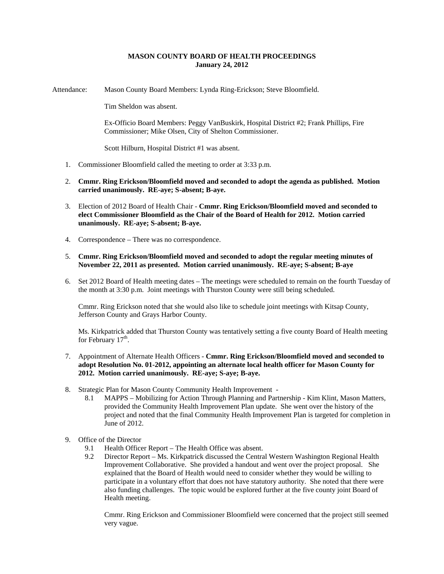## **MASON COUNTY BOARD OF HEALTH PROCEEDINGS January 24, 2012**

Attendance: Mason County Board Members: Lynda Ring-Erickson; Steve Bloomfield.

Tim Sheldon was absent.

Ex-Officio Board Members: Peggy VanBuskirk, Hospital District #2; Frank Phillips, Fire Commissioner; Mike Olsen, City of Shelton Commissioner.

Scott Hilburn, Hospital District #1 was absent.

- 1. Commissioner Bloomfield called the meeting to order at 3:33 p.m.
- 2. **Cmmr. Ring Erickson/Bloomfield moved and seconded to adopt the agenda as published. Motion carried unanimously. RE-aye; S-absent; B-aye.**
- 3. Election of 2012 Board of Health Chair **Cmmr. Ring Erickson/Bloomfield moved and seconded to elect Commissioner Bloomfield as the Chair of the Board of Health for 2012. Motion carried unanimously. RE-aye; S-absent; B-aye.**
- 4. Correspondence There was no correspondence.
- 5. **Cmmr. Ring Erickson/Bloomfield moved and seconded to adopt the regular meeting minutes of November 22, 2011 as presented. Motion carried unanimously. RE-aye; S-absent; B-aye**
- 6. Set 2012 Board of Health meeting dates The meetings were scheduled to remain on the fourth Tuesday of the month at 3:30 p.m. Joint meetings with Thurston County were still being scheduled.

Cmmr. Ring Erickson noted that she would also like to schedule joint meetings with Kitsap County, Jefferson County and Grays Harbor County.

Ms. Kirkpatrick added that Thurston County was tentatively setting a five county Board of Health meeting for February  $17<sup>th</sup>$ .

- 7. Appointment of Alternate Health Officers **Cmmr. Ring Erickson/Bloomfield moved and seconded to adopt Resolution No. 01-2012, appointing an alternate local health officer for Mason County for 2012. Motion carried unanimously. RE-aye; S-aye; B-aye.**
- 8. Strategic Plan for Mason County Community Health Improvement
	- 8.1 MAPPS Mobilizing for Action Through Planning and Partnership Kim Klint, Mason Matters, provided the Community Health Improvement Plan update. She went over the history of the project and noted that the final Community Health Improvement Plan is targeted for completion in June of 2012.
- 9. Office of the Director
	- 9.1 Health Officer Report The Health Office was absent.
	- 9.2 Director Report Ms. Kirkpatrick discussed the Central Western Washington Regional Health Improvement Collaborative. She provided a handout and went over the project proposal. She explained that the Board of Health would need to consider whether they would be willing to participate in a voluntary effort that does not have statutory authority. She noted that there were also funding challenges. The topic would be explored further at the five county joint Board of Health meeting.

Cmmr. Ring Erickson and Commissioner Bloomfield were concerned that the project still seemed very vague.